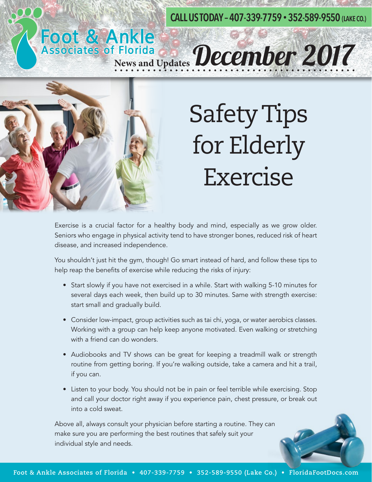#### **CALL US TODAY – 407-339-7759 • 352-589-9550 (LAKE CO.)**

# Safety Tips for Elderly Exercise

Exercise is a crucial factor for a healthy body and mind, especially as we grow older. Seniors who engage in physical activity tend to have stronger bones, reduced risk of heart disease, and increased independence.

**Foot & Ankle<br>Associates of Florida December 2017** 

You shouldn't just hit the gym, though! Go smart instead of hard, and follow these tips to help reap the benefits of exercise while reducing the risks of injury:

- Start slowly if you have not exercised in a while. Start with walking 5-10 minutes for several days each week, then build up to 30 minutes. Same with strength exercise: start small and gradually build.
- Consider low-impact, group activities such as tai chi, yoga, or water aerobics classes. Working with a group can help keep anyone motivated. Even walking or stretching with a friend can do wonders.
- Audiobooks and TV shows can be great for keeping a treadmill walk or strength routine from getting boring. If you're walking outside, take a camera and hit a trail, if you can.
- Listen to your body. You should not be in pain or feel terrible while exercising. Stop and call your doctor right away if you experience pain, chest pressure, or break out into a cold sweat.

Above all, always consult your physician before starting a routine. They can make sure you are performing the best routines that safely suit your individual style and needs.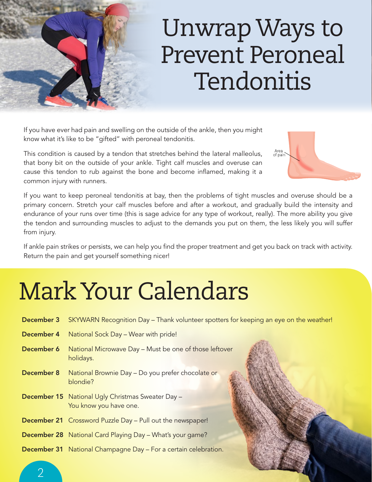### Unwrap Ways to Prevent Peroneal Tendonitis

If you have ever had pain and swelling on the outside of the ankle, then you might know what it's like to be "gifted" with peroneal tendonitis.

This condition is caused by a tendon that stretches behind the lateral malleolus, that bony bit on the outside of your ankle. Tight calf muscles and overuse can cause this tendon to rub against the bone and become inflamed, making it a common injury with runners.



If you want to keep peroneal tendonitis at bay, then the problems of tight muscles and overuse should be a primary concern. Stretch your calf muscles before and after a workout, and gradually build the intensity and endurance of your runs over time (this is sage advice for any type of workout, really). The more ability you give the tendon and surrounding muscles to adjust to the demands you put on them, the less likely you will suffer from injury.

If ankle pain strikes or persists, we can help you find the proper treatment and get you back on track with activity. Return the pain and get yourself something nicer!

## Mark Your Calendars

|                   | <b>December 3</b> SKYWARN Recognition Day – Thank volunteer spotters for keeping an eye on the weather! |
|-------------------|---------------------------------------------------------------------------------------------------------|
| <b>December 4</b> | National Sock Day - Wear with pride!                                                                    |
| December 6        | National Microwave Day - Must be one of those leftover<br>holidays.                                     |
| <b>December 8</b> | National Brownie Day - Do you prefer chocolate or<br>blondie?                                           |
|                   | <b>December 15</b> National Ugly Christmas Sweater Day -<br>You know you have one.                      |
|                   | <b>December 21</b> Crossword Puzzle Day - Pull out the newspaper!                                       |
|                   | <b>December 28</b> National Card Playing Day - What's your game?                                        |
|                   | <b>December 31</b> National Champagne Day – For a certain celebration.                                  |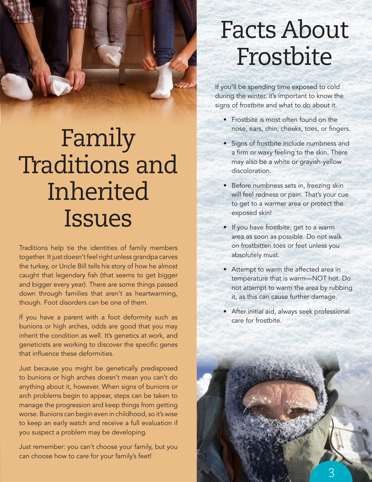

### Family Traditions and Inherited Issues

Traditions help tie the identities of family members together. It just doesn't feel right unless grandpa carves the turkey, or Uncle Bill tells his story of how he almost caught that legendary fish (that seems to get bigger and bigger every year). There are some things passed down through families that aren't as heartwarming, though. Foot disorders can be one of them.

If you have a parent with a foot deformity such as bunions or high arches, odds are good that you may inherit the condition as well. It's genetics at work, and geneticists are working to discover the specific genes that influence these deformities.

Just because you might be genetically predisposed to bunions or high arches doesn't mean you can't do anything about it, however. When signs of bunions or arch problems begin to appear, steps can be taken to manage the progression and keep things from getting worse. Bunions can begin even in childhood, so it's wise to keep an early watch and receive a full evaluation if you suspect a problem may be developing.

Just remember: you can't choose your family, but you can choose how to care for your family's feet!

#### Facts About Frostbite

If you'll be spending time exposed to cold during the winter, it's important to know the signs of frostbite and what to do about it.

- Frostbite is most often found on the nose, ears, chin, cheeks, toes, or fingers.
- Signs of frostbite include numbness and a firm or waxy feeling to the skin. There may also be a white or grayish-yellow discoloration.
- Before numbness sets in, freezing skin will feel redness or pain. That's your cue to get to a warmer area or protect the exposed skin!
- If you have frostbite, get to a warm area as soon as possible. Do not walk on frostbitten toes or feet unless you absolutely must.
- Attempt to warm the affected area in temperature that is warm—NOT hot. Do not attempt to warm the area by rubbing it, as this can cause further damage.
- After initial aid, always seek professional care for frostbite.